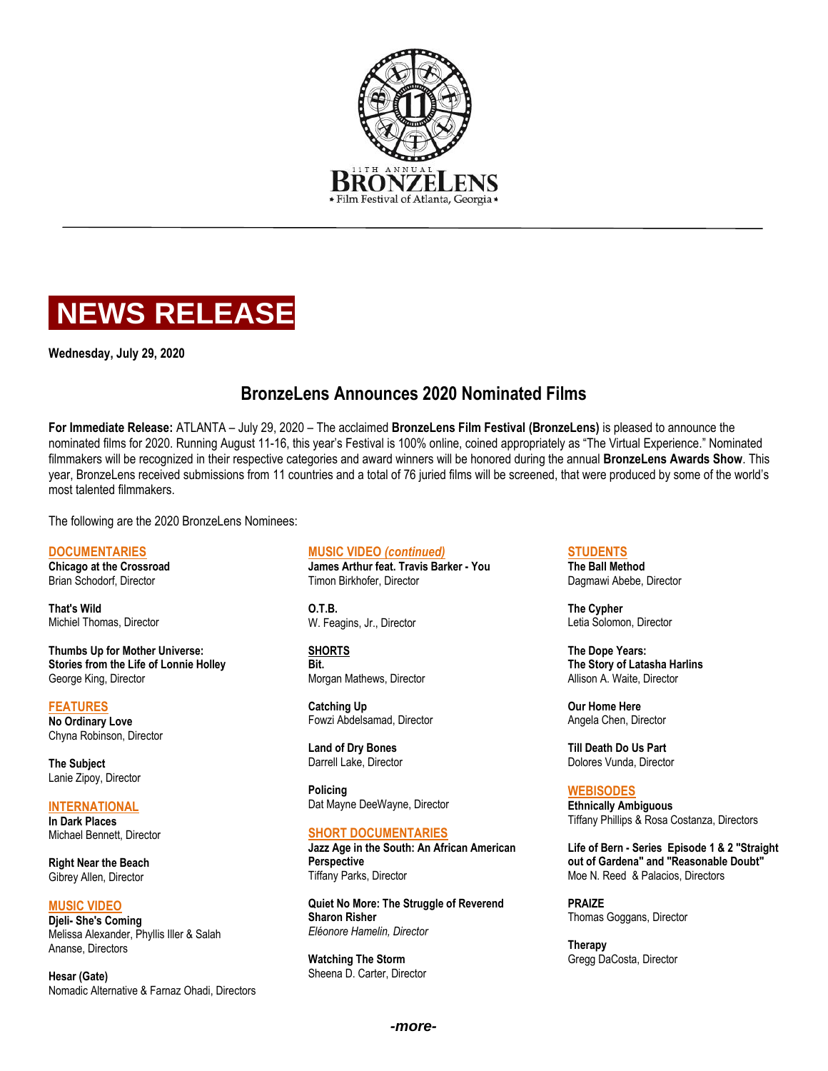



**Wednesday, July 29, 2020**

# **BronzeLens Announces 2020 Nominated Films**

**For Immediate Release:** ATLANTA – July 29, 2020 – The acclaimed **BronzeLens Film Festival (BronzeLens)** is pleased to announce the nominated films for 2020. Running August 11-16, this year's Festival is 100% online, coined appropriately as "The Virtual Experience." Nominated filmmakers will be recognized in their respective categories and award winners will be honored during the annual **BronzeLens Awards Show**. This year, BronzeLens received submissions from 11 countries and a total of 76 juried films will be screened, that were produced by some of the world's most talented filmmakers.

The following are the 2020 BronzeLens Nominees:

### **DOCUMENTARIES**

**Chicago at the Crossroad** Brian Schodorf, Director

**That's Wild** Michiel Thomas, Director

**Thumbs Up for Mother Universe: Stories from the Life of Lonnie Holley** George King, Director

#### **FEATURES**

**No Ordinary Love** Chyna Robinson, Director

**The Subject** Lanie Zipoy, Director

**INTERNATIONAL In Dark Places** Michael Bennett, Director

**Right Near the Beach** Gibrey Allen, Director

**MUSIC VIDEO Djeli- She's Coming** Melissa Alexander, Phyllis Iller & Salah Ananse, Directors

**Hesar (Gate)** Nomadic Alternative & Farnaz Ohadi, Directors

#### **MUSIC VIDEO** *(continued)*

**James Arthur feat. Travis Barker - You** Timon Birkhofer, Director

**O.T.B.** W. Feagins, Jr., Director

**SHORTS Bit.** Morgan Mathews, Director

**Catching Up** Fowzi Abdelsamad, Director

**Land of Dry Bones** Darrell Lake, Director

**Policing** Dat Mayne DeeWayne, Director

## **SHORT DOCUMENTARIES**

**Jazz Age in the South: An African American Perspective** Tiffany Parks, Director

**Quiet No More: The Struggle of Reverend Sharon Risher** *Eléonore Hamelin, Director* 

**Watching The Storm** Sheena D. Carter, Director

## **STUDENTS**

**The Ball Method** Dagmawi Abebe, Director

**The Cypher** Letia Solomon, Director

**The Dope Years: The Story of Latasha Harlins** Allison A. Waite, Director

**Our Home Here** Angela Chen, Director

**Till Death Do Us Part** Dolores Vunda, Director

**WEBISODES Ethnically Ambiguous** Tiffany Phillips & Rosa Costanza, Directors

**Life of Bern - Series Episode 1 & 2 "Straight out of Gardena" and "Reasonable Doubt"** Moe N. Reed & Palacios, Directors

**PRAIZE** Thomas Goggans, Director

**Therapy** Gregg DaCosta, Director